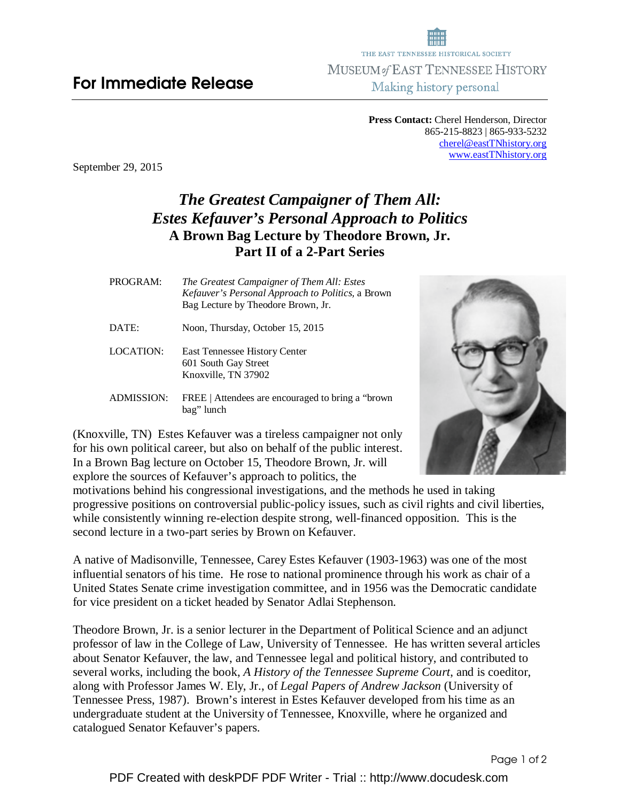## For Immediate Release

**Press Contact:** Cherel Henderson, Director 865-215-8823 | 865-933-5232 cherel@eastTNhistory.org www.eastTNhistory.org

September 29, 2015

## *The Greatest Campaigner of Them All: Estes Kefauver's Personal Approach to Politics*  **A Brown Bag Lecture by Theodore Brown, Jr. Part II of a 2-Part Series**

PROGRAM:*The Greatest Campaigner of Them All: Estes Kefauver's Personal Approach to Politics,* a Brown Bag Lecture by Theodore Brown, Jr.

DATE: Noon, Thursday, October 15, 2015

LOCATION: East Tennessee History Center 601 South Gay Street Knoxville, TN 37902

ADMISSION: FREE | Attendees are encouraged to bring a "brown bag" lunch

(Knoxville, TN) Estes Kefauver was a tireless campaigner not only for his own political career, but also on behalf of the public interest. In a Brown Bag lecture on October 15, Theodore Brown, Jr. will explore the sources of Kefauver's approach to politics, the

motivations behind his congressional investigations, and the methods he used in taking progressive positions on controversial public-policy issues, such as civil rights and civil liberties, while consistently winning re-election despite strong, well-financed opposition. This is the second lecture in a two-part series by Brown on Kefauver.

A native of Madisonville, Tennessee, Carey Estes Kefauver (1903-1963) was one of the most influential senators of his time. He rose to national prominence through his work as chair of a United States Senate crime investigation committee, and in 1956 was the Democratic candidate for vice president on a ticket headed by Senator Adlai Stephenson.

Theodore Brown, Jr. is a senior lecturer in the Department of Political Science and an adjunct professor of law in the College of Law, University of Tennessee. He has written several articles about Senator Kefauver, the law, and Tennessee legal and political history, and contributed to several works, including the book, *A History of the Tennessee Supreme Court*, and is coeditor, along with Professor James W. Ely, Jr., of *Legal Papers of Andrew Jackson* (University of Tennessee Press, 1987). Brown's interest in Estes Kefauver developed from his time as an undergraduate student at the University of Tennessee, Knoxville, where he organized and catalogued Senator Kefauver's papers.



Page 1 of 2

THE EAST TENNESSEE HISTORICAL SOCIETY MUSEUM of EAST TENNESSEE HISTORY Making history personal